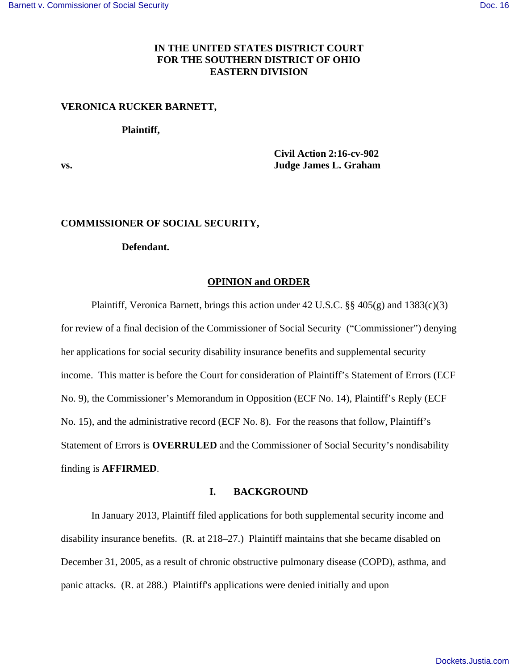## **IN THE UNITED STATES DISTRICT COURT FOR THE SOUTHERN DISTRICT OF OHIO EASTERN DIVISION**

## **VERONICA RUCKER BARNETT,**

#### **Plaintiff,**

 **Civil Action 2:16-cv-902 vs. Judge James L. Graham** 

#### **COMMISSIONER OF SOCIAL SECURITY,**

# **Defendant.**

#### **OPINION and ORDER**

 Plaintiff, Veronica Barnett, brings this action under 42 U.S.C. §§ 405(g) and 1383(c)(3) for review of a final decision of the Commissioner of Social Security ("Commissioner") denying her applications for social security disability insurance benefits and supplemental security income. This matter is before the Court for consideration of Plaintiff's Statement of Errors (ECF No. 9), the Commissioner's Memorandum in Opposition (ECF No. 14), Plaintiff's Reply (ECF No. 15), and the administrative record (ECF No. 8). For the reasons that follow, Plaintiff's Statement of Errors is **OVERRULED** and the Commissioner of Social Security's nondisability finding is **AFFIRMED**.

### **I. BACKGROUND**

 In January 2013, Plaintiff filed applications for both supplemental security income and disability insurance benefits. (R. at 218–27.) Plaintiff maintains that she became disabled on December 31, 2005, as a result of chronic obstructive pulmonary disease (COPD), asthma, and panic attacks. (R. at 288.) Plaintiff's applications were denied initially and upon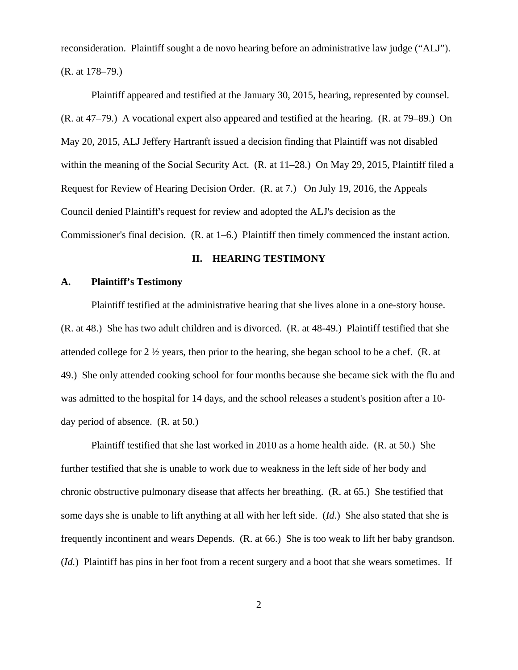reconsideration. Plaintiff sought a de novo hearing before an administrative law judge ("ALJ"). (R. at 178–79.)

 Plaintiff appeared and testified at the January 30, 2015, hearing, represented by counsel. (R. at 47–79.) A vocational expert also appeared and testified at the hearing. (R. at 79–89.) On May 20, 2015, ALJ Jeffery Hartranft issued a decision finding that Plaintiff was not disabled within the meaning of the Social Security Act. (R. at 11–28.) On May 29, 2015, Plaintiff filed a Request for Review of Hearing Decision Order. (R. at 7.) On July 19, 2016, the Appeals Council denied Plaintiff's request for review and adopted the ALJ's decision as the Commissioner's final decision. (R. at 1–6.) Plaintiff then timely commenced the instant action.

#### **II. HEARING TESTIMONY**

#### **A. Plaintiff's Testimony**

Plaintiff testified at the administrative hearing that she lives alone in a one-story house. (R. at 48.) She has two adult children and is divorced. (R. at 48-49.) Plaintiff testified that she attended college for  $2 \frac{1}{2}$  years, then prior to the hearing, she began school to be a chef. (R. at 49.) She only attended cooking school for four months because she became sick with the flu and was admitted to the hospital for 14 days, and the school releases a student's position after a 10 day period of absence. (R. at 50.)

 Plaintiff testified that she last worked in 2010 as a home health aide. (R. at 50.) She further testified that she is unable to work due to weakness in the left side of her body and chronic obstructive pulmonary disease that affects her breathing. (R. at 65.) She testified that some days she is unable to lift anything at all with her left side. (*Id.*) She also stated that she is frequently incontinent and wears Depends. (R. at 66.) She is too weak to lift her baby grandson. (*Id.*) Plaintiff has pins in her foot from a recent surgery and a boot that she wears sometimes. If

2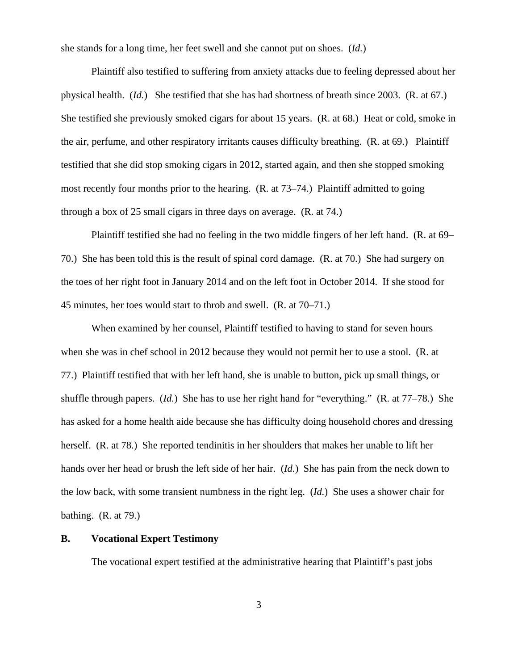she stands for a long time, her feet swell and she cannot put on shoes. (*Id.*)

 Plaintiff also testified to suffering from anxiety attacks due to feeling depressed about her physical health. (*Id.*) She testified that she has had shortness of breath since 2003. (R. at 67.) She testified she previously smoked cigars for about 15 years. (R. at 68.) Heat or cold, smoke in the air, perfume, and other respiratory irritants causes difficulty breathing. (R. at 69.) Plaintiff testified that she did stop smoking cigars in 2012, started again, and then she stopped smoking most recently four months prior to the hearing. (R. at 73–74.) Plaintiff admitted to going through a box of 25 small cigars in three days on average. (R. at 74.)

 Plaintiff testified she had no feeling in the two middle fingers of her left hand. (R. at 69– 70.) She has been told this is the result of spinal cord damage. (R. at 70.) She had surgery on the toes of her right foot in January 2014 and on the left foot in October 2014. If she stood for 45 minutes, her toes would start to throb and swell. (R. at 70–71.)

 When examined by her counsel, Plaintiff testified to having to stand for seven hours when she was in chef school in 2012 because they would not permit her to use a stool. (R. at 77.) Plaintiff testified that with her left hand, she is unable to button, pick up small things, or shuffle through papers. (*Id.*) She has to use her right hand for "everything." (R. at 77–78.) She has asked for a home health aide because she has difficulty doing household chores and dressing herself. (R. at 78.) She reported tendinitis in her shoulders that makes her unable to lift her hands over her head or brush the left side of her hair. (*Id.*) She has pain from the neck down to the low back, with some transient numbness in the right leg. (*Id.*) She uses a shower chair for bathing. (R. at 79.)

## **B. Vocational Expert Testimony**

The vocational expert testified at the administrative hearing that Plaintiff's past jobs

3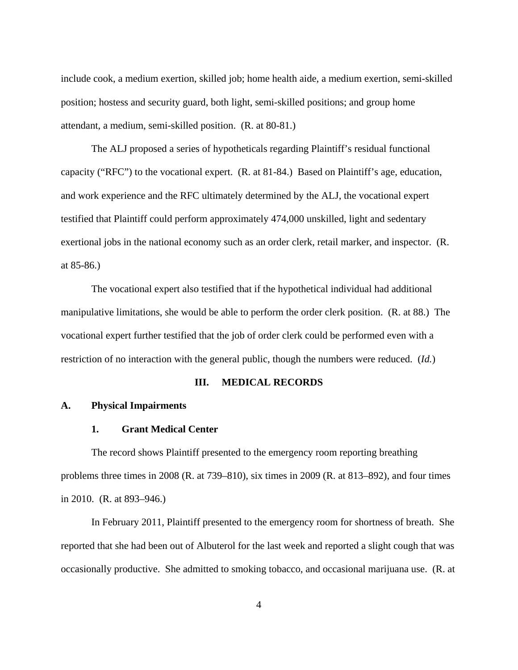include cook, a medium exertion, skilled job; home health aide, a medium exertion, semi-skilled position; hostess and security guard, both light, semi-skilled positions; and group home attendant, a medium, semi-skilled position. (R. at 80-81.)

 The ALJ proposed a series of hypotheticals regarding Plaintiff's residual functional capacity ("RFC") to the vocational expert. (R. at 81-84.) Based on Plaintiff's age, education, and work experience and the RFC ultimately determined by the ALJ, the vocational expert testified that Plaintiff could perform approximately 474,000 unskilled, light and sedentary exertional jobs in the national economy such as an order clerk, retail marker, and inspector. (R. at 85-86.)

 The vocational expert also testified that if the hypothetical individual had additional manipulative limitations, she would be able to perform the order clerk position. (R. at 88.) The vocational expert further testified that the job of order clerk could be performed even with a restriction of no interaction with the general public, though the numbers were reduced. (*Id.*)

#### **III. MEDICAL RECORDS**

### **A. Physical Impairments**

## **1. Grant Medical Center**

 The record shows Plaintiff presented to the emergency room reporting breathing problems three times in 2008 (R. at 739–810), six times in 2009 (R. at 813–892), and four times in 2010. (R. at 893–946.)

 In February 2011, Plaintiff presented to the emergency room for shortness of breath. She reported that she had been out of Albuterol for the last week and reported a slight cough that was occasionally productive. She admitted to smoking tobacco, and occasional marijuana use. (R. at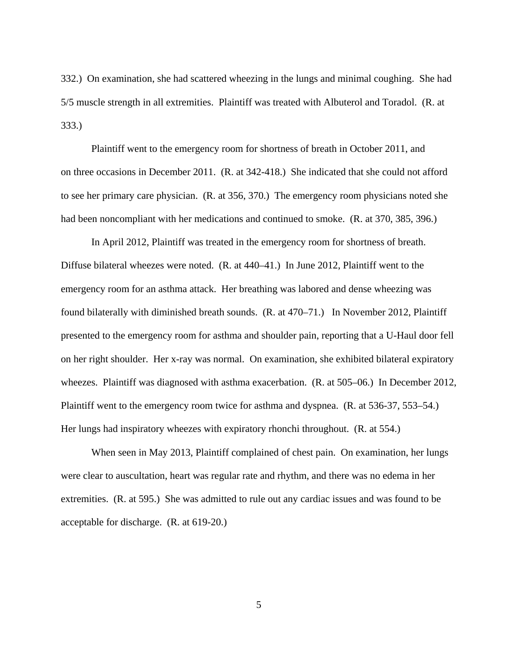332.) On examination, she had scattered wheezing in the lungs and minimal coughing. She had 5/5 muscle strength in all extremities. Plaintiff was treated with Albuterol and Toradol. (R. at 333.)

 Plaintiff went to the emergency room for shortness of breath in October 2011, and on three occasions in December 2011. (R. at 342-418.) She indicated that she could not afford to see her primary care physician. (R. at 356, 370.) The emergency room physicians noted she had been noncompliant with her medications and continued to smoke. (R. at 370, 385, 396.)

 In April 2012, Plaintiff was treated in the emergency room for shortness of breath. Diffuse bilateral wheezes were noted. (R. at 440–41.) In June 2012, Plaintiff went to the emergency room for an asthma attack. Her breathing was labored and dense wheezing was found bilaterally with diminished breath sounds. (R. at 470–71.) In November 2012, Plaintiff presented to the emergency room for asthma and shoulder pain, reporting that a U-Haul door fell on her right shoulder. Her x-ray was normal. On examination, she exhibited bilateral expiratory wheezes. Plaintiff was diagnosed with asthma exacerbation. (R. at 505–06.) In December 2012, Plaintiff went to the emergency room twice for asthma and dyspnea. (R. at 536-37, 553–54.) Her lungs had inspiratory wheezes with expiratory rhonchi throughout. (R. at 554.)

 When seen in May 2013, Plaintiff complained of chest pain. On examination, her lungs were clear to auscultation, heart was regular rate and rhythm, and there was no edema in her extremities. (R. at 595.) She was admitted to rule out any cardiac issues and was found to be acceptable for discharge. (R. at 619-20.)

5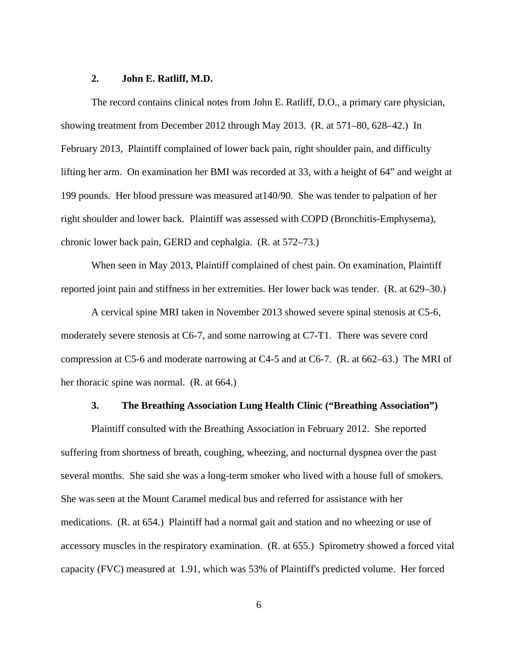## **2. John E. Ratliff, M.D.**

 The record contains clinical notes from John E. Ratliff, D.O., a primary care physician, showing treatment from December 2012 through May 2013. (R. at 571–80, 628–42.) In February 2013, Plaintiff complained of lower back pain, right shoulder pain, and difficulty lifting her arm. On examination her BMI was recorded at 33, with a height of 64" and weight at 199 pounds. Her blood pressure was measured at140/90. She was tender to palpation of her right shoulder and lower back. Plaintiff was assessed with COPD (Bronchitis-Emphysema), chronic lower back pain, GERD and cephalgia. (R. at 572–73.)

 When seen in May 2013, Plaintiff complained of chest pain. On examination, Plaintiff reported joint pain and stiffness in her extremities. Her lower back was tender. (R. at 629–30.)

 A cervical spine MRI taken in November 2013 showed severe spinal stenosis at C5-6, moderately severe stenosis at C6-7, and some narrowing at C7-T1. There was severe cord compression at C5-6 and moderate narrowing at C4-5 and at C6-7. (R. at 662–63.) The MRI of her thoracic spine was normal. (R. at 664.)

## **3. The Breathing Association Lung Health Clinic ("Breathing Association")**

Plaintiff consulted with the Breathing Association in February 2012. She reported suffering from shortness of breath, coughing, wheezing, and nocturnal dyspnea over the past several months. She said she was a long-term smoker who lived with a house full of smokers. She was seen at the Mount Caramel medical bus and referred for assistance with her medications. (R. at 654.) Plaintiff had a normal gait and station and no wheezing or use of accessory muscles in the respiratory examination. (R. at 655.) Spirometry showed a forced vital capacity (FVC) measured at 1.91, which was 53% of Plaintiff's predicted volume. Her forced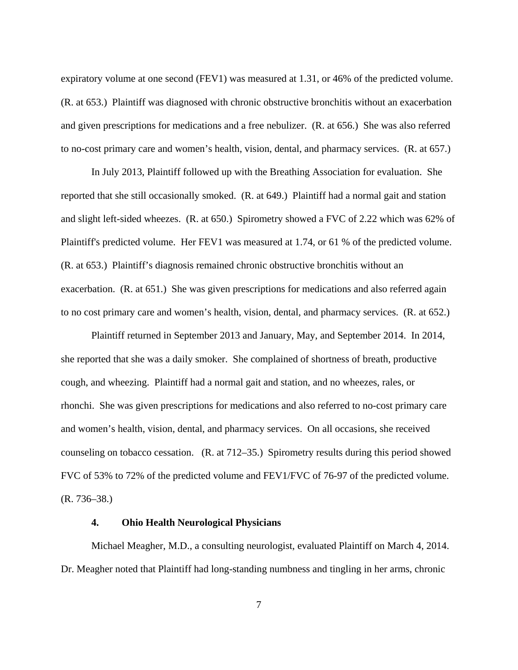expiratory volume at one second (FEV1) was measured at 1.31, or 46% of the predicted volume. (R. at 653.) Plaintiff was diagnosed with chronic obstructive bronchitis without an exacerbation and given prescriptions for medications and a free nebulizer. (R. at 656.) She was also referred to no-cost primary care and women's health, vision, dental, and pharmacy services. (R. at 657.)

In July 2013, Plaintiff followed up with the Breathing Association for evaluation. She reported that she still occasionally smoked. (R. at 649.) Plaintiff had a normal gait and station and slight left-sided wheezes. (R. at 650.) Spirometry showed a FVC of 2.22 which was 62% of Plaintiff's predicted volume. Her FEV1 was measured at 1.74, or 61 % of the predicted volume. (R. at 653.) Plaintiff's diagnosis remained chronic obstructive bronchitis without an exacerbation. (R. at 651.) She was given prescriptions for medications and also referred again to no cost primary care and women's health, vision, dental, and pharmacy services. (R. at 652.)

 Plaintiff returned in September 2013 and January, May, and September 2014. In 2014, she reported that she was a daily smoker. She complained of shortness of breath, productive cough, and wheezing. Plaintiff had a normal gait and station, and no wheezes, rales, or rhonchi. She was given prescriptions for medications and also referred to no-cost primary care and women's health, vision, dental, and pharmacy services. On all occasions, she received counseling on tobacco cessation. (R. at 712–35.) Spirometry results during this period showed FVC of 53% to 72% of the predicted volume and FEV1/FVC of 76-97 of the predicted volume. (R. 736–38.)

### **4. Ohio Health Neurological Physicians**

 Michael Meagher, M.D., a consulting neurologist, evaluated Plaintiff on March 4, 2014. Dr. Meagher noted that Plaintiff had long-standing numbness and tingling in her arms, chronic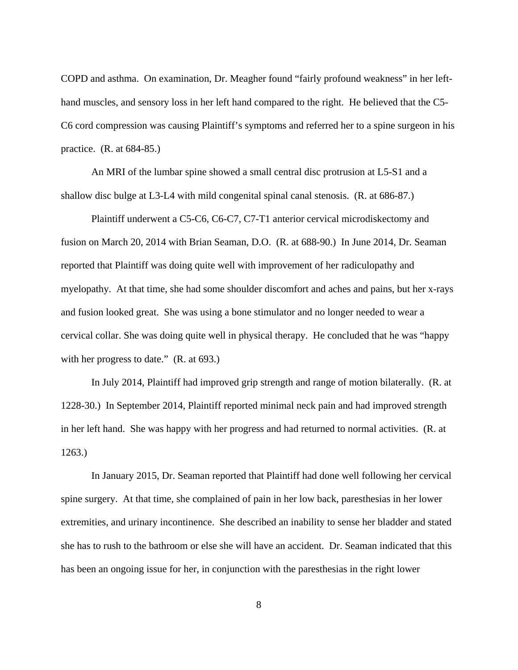COPD and asthma. On examination, Dr. Meagher found "fairly profound weakness" in her lefthand muscles, and sensory loss in her left hand compared to the right. He believed that the C5- C6 cord compression was causing Plaintiff's symptoms and referred her to a spine surgeon in his practice. (R. at 684-85.)

 An MRI of the lumbar spine showed a small central disc protrusion at L5-S1 and a shallow disc bulge at L3-L4 with mild congenital spinal canal stenosis. (R. at 686-87.)

 Plaintiff underwent a C5-C6, C6-C7, C7-T1 anterior cervical microdiskectomy and fusion on March 20, 2014 with Brian Seaman, D.O. (R. at 688-90.) In June 2014, Dr. Seaman reported that Plaintiff was doing quite well with improvement of her radiculopathy and myelopathy. At that time, she had some shoulder discomfort and aches and pains, but her x-rays and fusion looked great. She was using a bone stimulator and no longer needed to wear a cervical collar. She was doing quite well in physical therapy. He concluded that he was "happy with her progress to date." (R. at 693.)

 In July 2014, Plaintiff had improved grip strength and range of motion bilaterally. (R. at 1228-30.) In September 2014, Plaintiff reported minimal neck pain and had improved strength in her left hand. She was happy with her progress and had returned to normal activities. (R. at 1263.)

 In January 2015, Dr. Seaman reported that Plaintiff had done well following her cervical spine surgery. At that time, she complained of pain in her low back, paresthesias in her lower extremities, and urinary incontinence. She described an inability to sense her bladder and stated she has to rush to the bathroom or else she will have an accident. Dr. Seaman indicated that this has been an ongoing issue for her, in conjunction with the paresthesias in the right lower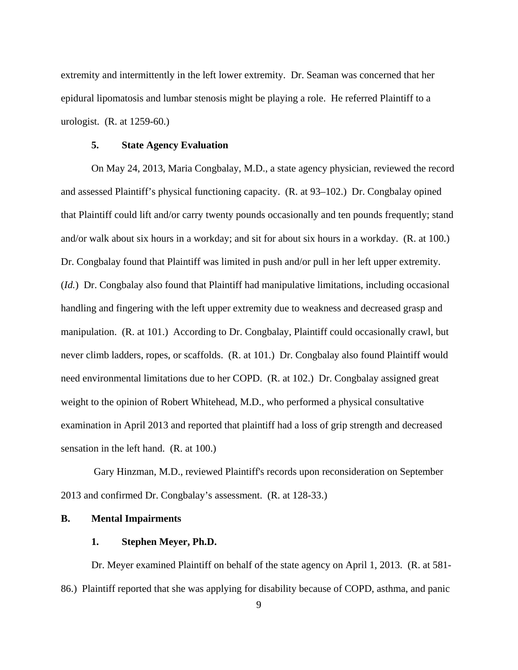extremity and intermittently in the left lower extremity. Dr. Seaman was concerned that her epidural lipomatosis and lumbar stenosis might be playing a role. He referred Plaintiff to a urologist. (R. at 1259-60.)

## **5. State Agency Evaluation**

 On May 24, 2013, Maria Congbalay, M.D., a state agency physician, reviewed the record and assessed Plaintiff's physical functioning capacity. (R. at 93–102.) Dr. Congbalay opined that Plaintiff could lift and/or carry twenty pounds occasionally and ten pounds frequently; stand and/or walk about six hours in a workday; and sit for about six hours in a workday. (R. at 100.) Dr. Congbalay found that Plaintiff was limited in push and/or pull in her left upper extremity. (*Id.*) Dr. Congbalay also found that Plaintiff had manipulative limitations, including occasional handling and fingering with the left upper extremity due to weakness and decreased grasp and manipulation. (R. at 101.) According to Dr. Congbalay, Plaintiff could occasionally crawl, but never climb ladders, ropes, or scaffolds. (R. at 101.) Dr. Congbalay also found Plaintiff would need environmental limitations due to her COPD. (R. at 102.) Dr. Congbalay assigned great weight to the opinion of Robert Whitehead, M.D., who performed a physical consultative examination in April 2013 and reported that plaintiff had a loss of grip strength and decreased sensation in the left hand. (R. at 100.)

 Gary Hinzman, M.D., reviewed Plaintiff's records upon reconsideration on September 2013 and confirmed Dr. Congbalay's assessment. (R. at 128-33.)

## **B. Mental Impairments**

### **1. Stephen Meyer, Ph.D.**

 Dr. Meyer examined Plaintiff on behalf of the state agency on April 1, 2013. (R. at 581- 86.) Plaintiff reported that she was applying for disability because of COPD, asthma, and panic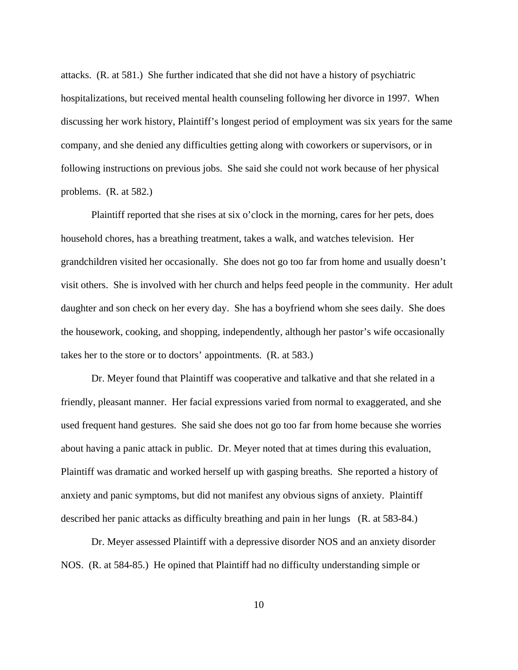attacks. (R. at 581.) She further indicated that she did not have a history of psychiatric hospitalizations, but received mental health counseling following her divorce in 1997. When discussing her work history, Plaintiff's longest period of employment was six years for the same company, and she denied any difficulties getting along with coworkers or supervisors, or in following instructions on previous jobs. She said she could not work because of her physical problems. (R. at 582.)

 Plaintiff reported that she rises at six o'clock in the morning, cares for her pets, does household chores, has a breathing treatment, takes a walk, and watches television. Her grandchildren visited her occasionally. She does not go too far from home and usually doesn't visit others. She is involved with her church and helps feed people in the community. Her adult daughter and son check on her every day. She has a boyfriend whom she sees daily. She does the housework, cooking, and shopping, independently, although her pastor's wife occasionally takes her to the store or to doctors' appointments. (R. at 583.)

 Dr. Meyer found that Plaintiff was cooperative and talkative and that she related in a friendly, pleasant manner. Her facial expressions varied from normal to exaggerated, and she used frequent hand gestures. She said she does not go too far from home because she worries about having a panic attack in public. Dr. Meyer noted that at times during this evaluation, Plaintiff was dramatic and worked herself up with gasping breaths. She reported a history of anxiety and panic symptoms, but did not manifest any obvious signs of anxiety. Plaintiff described her panic attacks as difficulty breathing and pain in her lungs (R. at 583-84.)

 Dr. Meyer assessed Plaintiff with a depressive disorder NOS and an anxiety disorder NOS. (R. at 584-85.) He opined that Plaintiff had no difficulty understanding simple or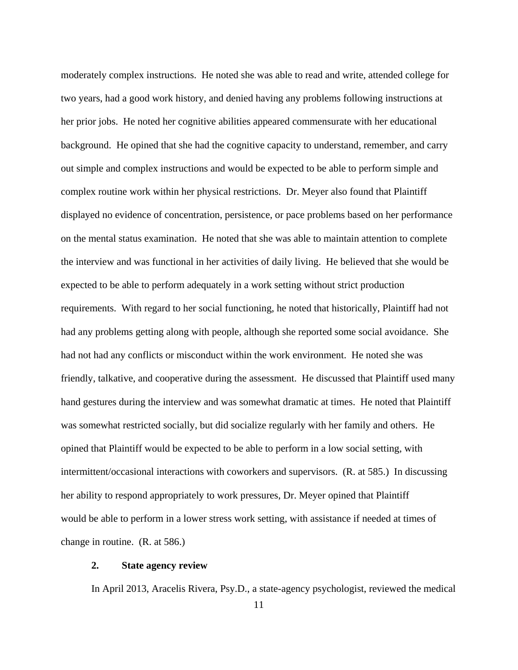moderately complex instructions. He noted she was able to read and write, attended college for two years, had a good work history, and denied having any problems following instructions at her prior jobs. He noted her cognitive abilities appeared commensurate with her educational background. He opined that she had the cognitive capacity to understand, remember, and carry out simple and complex instructions and would be expected to be able to perform simple and complex routine work within her physical restrictions. Dr. Meyer also found that Plaintiff displayed no evidence of concentration, persistence, or pace problems based on her performance on the mental status examination. He noted that she was able to maintain attention to complete the interview and was functional in her activities of daily living. He believed that she would be expected to be able to perform adequately in a work setting without strict production requirements. With regard to her social functioning, he noted that historically, Plaintiff had not had any problems getting along with people, although she reported some social avoidance. She had not had any conflicts or misconduct within the work environment. He noted she was friendly, talkative, and cooperative during the assessment. He discussed that Plaintiff used many hand gestures during the interview and was somewhat dramatic at times. He noted that Plaintiff was somewhat restricted socially, but did socialize regularly with her family and others. He opined that Plaintiff would be expected to be able to perform in a low social setting, with intermittent/occasional interactions with coworkers and supervisors. (R. at 585.) In discussing her ability to respond appropriately to work pressures, Dr. Meyer opined that Plaintiff would be able to perform in a lower stress work setting, with assistance if needed at times of change in routine. (R. at 586.)

### **2. State agency review**

In April 2013, Aracelis Rivera, Psy.D., a state-agency psychologist, reviewed the medical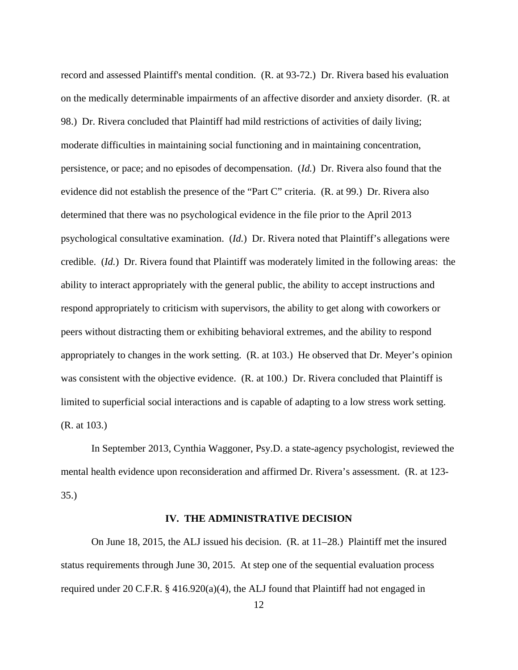record and assessed Plaintiff's mental condition. (R. at 93-72.) Dr. Rivera based his evaluation on the medically determinable impairments of an affective disorder and anxiety disorder. (R. at 98.) Dr. Rivera concluded that Plaintiff had mild restrictions of activities of daily living; moderate difficulties in maintaining social functioning and in maintaining concentration, persistence, or pace; and no episodes of decompensation. (*Id.*) Dr. Rivera also found that the evidence did not establish the presence of the "Part C" criteria. (R. at 99.) Dr. Rivera also determined that there was no psychological evidence in the file prior to the April 2013 psychological consultative examination. (*Id.*) Dr. Rivera noted that Plaintiff's allegations were credible. (*Id.*) Dr. Rivera found that Plaintiff was moderately limited in the following areas: the ability to interact appropriately with the general public, the ability to accept instructions and respond appropriately to criticism with supervisors, the ability to get along with coworkers or peers without distracting them or exhibiting behavioral extremes, and the ability to respond appropriately to changes in the work setting. (R. at 103.) He observed that Dr. Meyer's opinion was consistent with the objective evidence. (R. at 100.) Dr. Rivera concluded that Plaintiff is limited to superficial social interactions and is capable of adapting to a low stress work setting. (R. at 103.)

 In September 2013, Cynthia Waggoner, Psy.D. a state-agency psychologist, reviewed the mental health evidence upon reconsideration and affirmed Dr. Rivera's assessment. (R. at 123- 35.)

#### **IV. THE ADMINISTRATIVE DECISION**

 On June 18, 2015, the ALJ issued his decision. (R. at 11–28.) Plaintiff met the insured status requirements through June 30, 2015. At step one of the sequential evaluation process required under 20 C.F.R. § 416.920(a)(4), the ALJ found that Plaintiff had not engaged in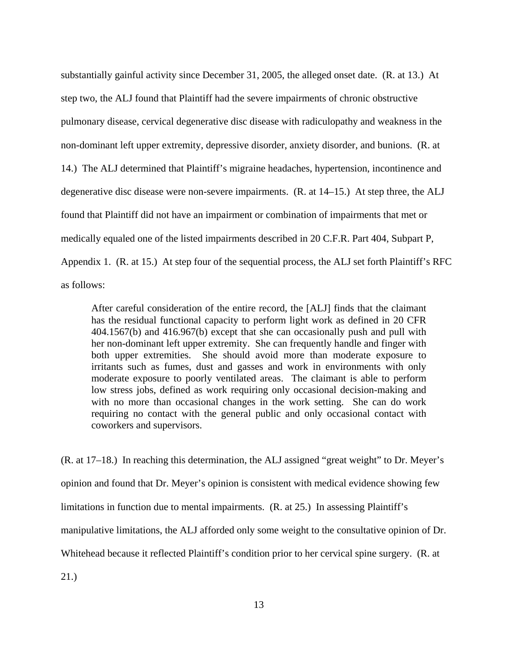substantially gainful activity since December 31, 2005, the alleged onset date. (R. at 13.) At step two, the ALJ found that Plaintiff had the severe impairments of chronic obstructive pulmonary disease, cervical degenerative disc disease with radiculopathy and weakness in the non-dominant left upper extremity, depressive disorder, anxiety disorder, and bunions. (R. at 14.) The ALJ determined that Plaintiff's migraine headaches, hypertension, incontinence and degenerative disc disease were non-severe impairments. (R. at 14–15.) At step three, the ALJ found that Plaintiff did not have an impairment or combination of impairments that met or medically equaled one of the listed impairments described in 20 C.F.R. Part 404, Subpart P, Appendix 1. (R. at 15.) At step four of the sequential process, the ALJ set forth Plaintiff's RFC as follows:

After careful consideration of the entire record, the [ALJ] finds that the claimant has the residual functional capacity to perform light work as defined in 20 CFR 404.1567(b) and 416.967(b) except that she can occasionally push and pull with her non-dominant left upper extremity. She can frequently handle and finger with both upper extremities. She should avoid more than moderate exposure to irritants such as fumes, dust and gasses and work in environments with only moderate exposure to poorly ventilated areas. The claimant is able to perform low stress jobs, defined as work requiring only occasional decision-making and with no more than occasional changes in the work setting. She can do work requiring no contact with the general public and only occasional contact with coworkers and supervisors.

(R. at 17–18.) In reaching this determination, the ALJ assigned "great weight" to Dr. Meyer's opinion and found that Dr. Meyer's opinion is consistent with medical evidence showing few limitations in function due to mental impairments. (R. at 25.) In assessing Plaintiff's manipulative limitations, the ALJ afforded only some weight to the consultative opinion of Dr. Whitehead because it reflected Plaintiff's condition prior to her cervical spine surgery. (R. at 21.)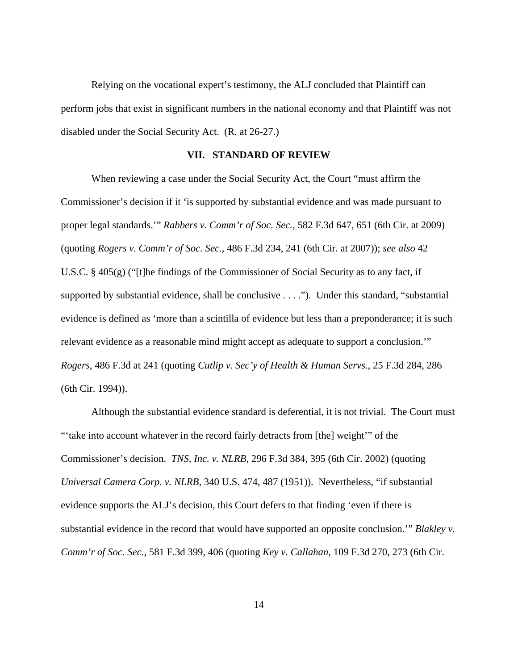Relying on the vocational expert's testimony, the ALJ concluded that Plaintiff can perform jobs that exist in significant numbers in the national economy and that Plaintiff was not disabled under the Social Security Act. (R. at 26-27.)

## **VII. STANDARD OF REVIEW**

When reviewing a case under the Social Security Act, the Court "must affirm the Commissioner's decision if it 'is supported by substantial evidence and was made pursuant to proper legal standards.'" *Rabbers v. Comm'r of Soc. Sec.*, 582 F.3d 647, 651 (6th Cir. at 2009) (quoting *Rogers v. Comm'r of Soc. Sec.*, 486 F.3d 234, 241 (6th Cir. at 2007)); *see also* 42 U.S.C. § 405(g) ("[t]he findings of the Commissioner of Social Security as to any fact, if supported by substantial evidence, shall be conclusive . . . ."). Under this standard, "substantial evidence is defined as 'more than a scintilla of evidence but less than a preponderance; it is such relevant evidence as a reasonable mind might accept as adequate to support a conclusion.'" *Rogers*, 486 F.3d at 241 (quoting *Cutlip v. Sec'y of Health & Human Servs.*, 25 F.3d 284, 286 (6th Cir. 1994)).

 Although the substantial evidence standard is deferential, it is not trivial. The Court must "'take into account whatever in the record fairly detracts from [the] weight'" of the Commissioner's decision. *TNS, Inc. v. NLRB*, 296 F.3d 384, 395 (6th Cir. 2002) (quoting *Universal Camera Corp. v. NLRB*, 340 U.S. 474, 487 (1951)). Nevertheless, "if substantial evidence supports the ALJ's decision, this Court defers to that finding 'even if there is substantial evidence in the record that would have supported an opposite conclusion.'" *Blakley v. Comm'r of Soc. Sec.*, 581 F.3d 399, 406 (quoting *Key v. Callahan*, 109 F.3d 270, 273 (6th Cir.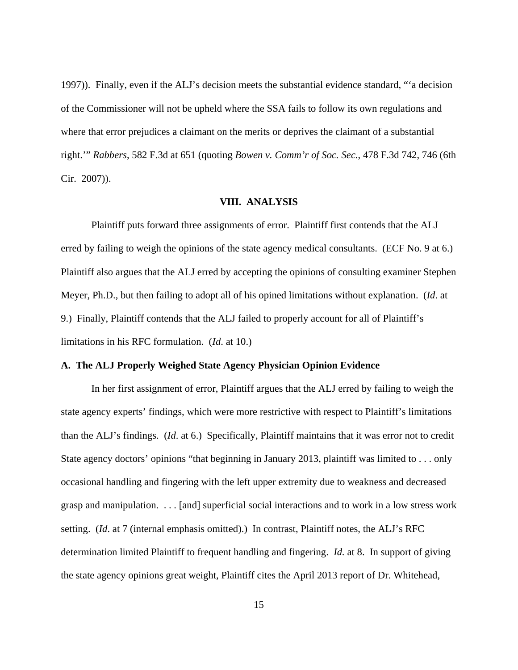1997)). Finally, even if the ALJ's decision meets the substantial evidence standard, "'a decision of the Commissioner will not be upheld where the SSA fails to follow its own regulations and where that error prejudices a claimant on the merits or deprives the claimant of a substantial right.'" *Rabbers*, 582 F.3d at 651 (quoting *Bowen v. Comm'r of Soc. Sec.*, 478 F.3d 742, 746 (6th Cir. 2007)).

## **VIII. ANALYSIS**

 Plaintiff puts forward three assignments of error. Plaintiff first contends that the ALJ erred by failing to weigh the opinions of the state agency medical consultants. (ECF No. 9 at 6.) Plaintiff also argues that the ALJ erred by accepting the opinions of consulting examiner Stephen Meyer, Ph.D., but then failing to adopt all of his opined limitations without explanation. (*Id*. at 9.) Finally, Plaintiff contends that the ALJ failed to properly account for all of Plaintiff's limitations in his RFC formulation. (*Id*. at 10.)

### **A. The ALJ Properly Weighed State Agency Physician Opinion Evidence**

 In her first assignment of error, Plaintiff argues that the ALJ erred by failing to weigh the state agency experts' findings, which were more restrictive with respect to Plaintiff's limitations than the ALJ's findings. (*Id*. at 6.) Specifically, Plaintiff maintains that it was error not to credit State agency doctors' opinions "that beginning in January 2013, plaintiff was limited to . . . only occasional handling and fingering with the left upper extremity due to weakness and decreased grasp and manipulation. . . . [and] superficial social interactions and to work in a low stress work setting. (*Id*. at 7 (internal emphasis omitted).) In contrast, Plaintiff notes, the ALJ's RFC determination limited Plaintiff to frequent handling and fingering. *Id.* at 8. In support of giving the state agency opinions great weight, Plaintiff cites the April 2013 report of Dr. Whitehead,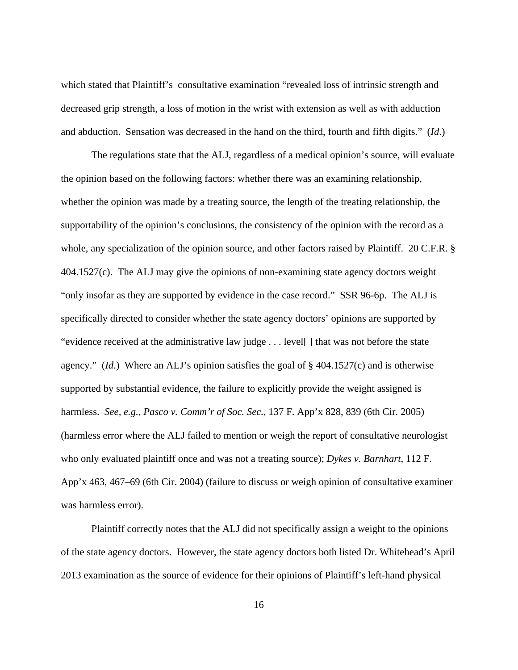which stated that Plaintiff's consultative examination "revealed loss of intrinsic strength and decreased grip strength, a loss of motion in the wrist with extension as well as with adduction and abduction. Sensation was decreased in the hand on the third, fourth and fifth digits." (*Id*.)

 The regulations state that the ALJ, regardless of a medical opinion's source, will evaluate the opinion based on the following factors: whether there was an examining relationship, whether the opinion was made by a treating source, the length of the treating relationship, the supportability of the opinion's conclusions, the consistency of the opinion with the record as a whole, any specialization of the opinion source, and other factors raised by Plaintiff. 20 C.F.R. § 404.1527(c). The ALJ may give the opinions of non-examining state agency doctors weight "only insofar as they are supported by evidence in the case record." SSR 96-6p. The ALJ is specifically directed to consider whether the state agency doctors' opinions are supported by "evidence received at the administrative law judge . . . level[ ] that was not before the state agency." (*Id*.) Where an ALJ's opinion satisfies the goal of § 404.1527(c) and is otherwise supported by substantial evidence, the failure to explicitly provide the weight assigned is harmless. *See, e.g.*, *Pasco v. Comm'r of Soc. Sec.,* 137 F. App'x 828, 839 (6th Cir. 2005) (harmless error where the ALJ failed to mention or weigh the report of consultative neurologist who only evaluated plaintiff once and was not a treating source); *Dykes v. Barnhart*, 112 F. App'x 463, 467–69 (6th Cir. 2004) (failure to discuss or weigh opinion of consultative examiner was harmless error).

 Plaintiff correctly notes that the ALJ did not specifically assign a weight to the opinions of the state agency doctors. However, the state agency doctors both listed Dr. Whitehead's April 2013 examination as the source of evidence for their opinions of Plaintiff's left-hand physical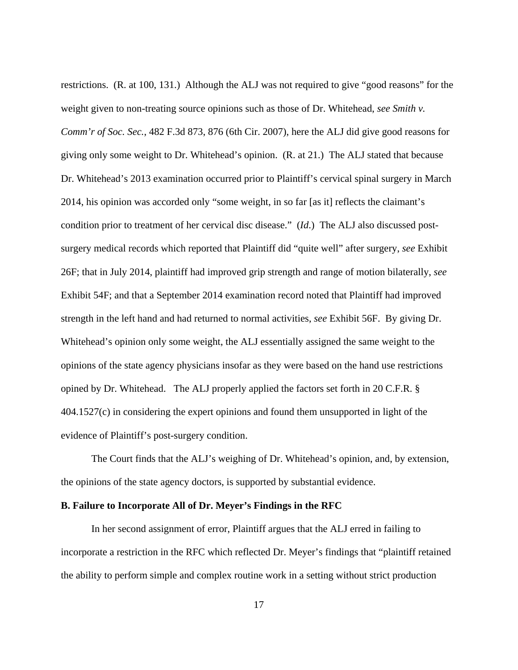restrictions. (R. at 100, 131.) Although the ALJ was not required to give "good reasons" for the weight given to non-treating source opinions such as those of Dr. Whitehead, *see Smith v. Comm'r of Soc. Sec.*, 482 F.3d 873, 876 (6th Cir. 2007), here the ALJ did give good reasons for giving only some weight to Dr. Whitehead's opinion. (R. at 21.) The ALJ stated that because Dr. Whitehead's 2013 examination occurred prior to Plaintiff's cervical spinal surgery in March 2014, his opinion was accorded only "some weight, in so far [as it] reflects the claimant's condition prior to treatment of her cervical disc disease." (*Id*.) The ALJ also discussed postsurgery medical records which reported that Plaintiff did "quite well" after surgery, *see* Exhibit 26F; that in July 2014, plaintiff had improved grip strength and range of motion bilaterally, *see* Exhibit 54F; and that a September 2014 examination record noted that Plaintiff had improved strength in the left hand and had returned to normal activities, *see* Exhibit 56F. By giving Dr. Whitehead's opinion only some weight, the ALJ essentially assigned the same weight to the opinions of the state agency physicians insofar as they were based on the hand use restrictions opined by Dr. Whitehead. The ALJ properly applied the factors set forth in 20 C.F.R. § 404.1527(c) in considering the expert opinions and found them unsupported in light of the evidence of Plaintiff's post-surgery condition.

 The Court finds that the ALJ's weighing of Dr. Whitehead's opinion, and, by extension, the opinions of the state agency doctors, is supported by substantial evidence.

#### **B. Failure to Incorporate All of Dr. Meyer's Findings in the RFC**

 In her second assignment of error, Plaintiff argues that the ALJ erred in failing to incorporate a restriction in the RFC which reflected Dr. Meyer's findings that "plaintiff retained the ability to perform simple and complex routine work in a setting without strict production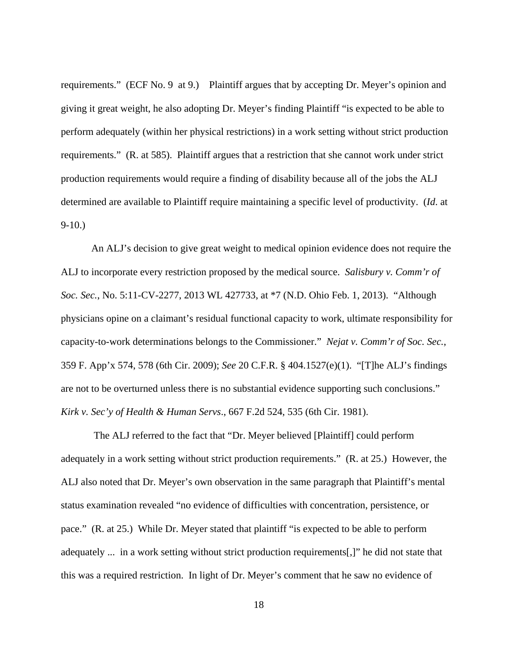requirements." (ECF No. 9 at 9.) Plaintiff argues that by accepting Dr. Meyer's opinion and giving it great weight, he also adopting Dr. Meyer's finding Plaintiff "is expected to be able to perform adequately (within her physical restrictions) in a work setting without strict production requirements." (R. at 585). Plaintiff argues that a restriction that she cannot work under strict production requirements would require a finding of disability because all of the jobs the ALJ determined are available to Plaintiff require maintaining a specific level of productivity. (*Id*. at  $9-10.$ 

 An ALJ's decision to give great weight to medical opinion evidence does not require the ALJ to incorporate every restriction proposed by the medical source. *Salisbury v. Comm'r of Soc. Sec.*, No. 5:11-CV-2277, 2013 WL 427733, at \*7 (N.D. Ohio Feb. 1, 2013). "Although physicians opine on a claimant's residual functional capacity to work, ultimate responsibility for capacity-to-work determinations belongs to the Commissioner." *Nejat v. Comm'r of Soc. Sec.*, 359 F. App'x 574, 578 (6th Cir. 2009); *See* 20 C.F.R. § 404.1527(e)(1). "[T]he ALJ's findings are not to be overturned unless there is no substantial evidence supporting such conclusions." *Kirk v. Sec'y of Health & Human Servs*., 667 F.2d 524, 535 (6th Cir. 1981).

 The ALJ referred to the fact that "Dr. Meyer believed [Plaintiff] could perform adequately in a work setting without strict production requirements." (R. at 25.) However, the ALJ also noted that Dr. Meyer's own observation in the same paragraph that Plaintiff's mental status examination revealed "no evidence of difficulties with concentration, persistence, or pace." (R. at 25.) While Dr. Meyer stated that plaintiff "is expected to be able to perform adequately ... in a work setting without strict production requirements[,]" he did not state that this was a required restriction. In light of Dr. Meyer's comment that he saw no evidence of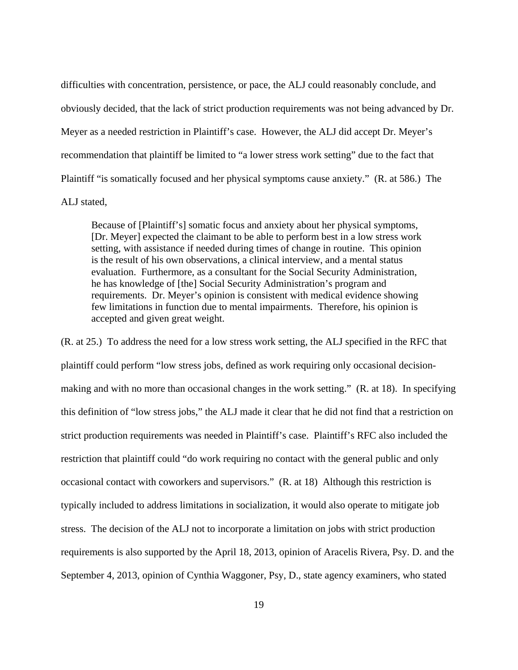difficulties with concentration, persistence, or pace, the ALJ could reasonably conclude, and obviously decided, that the lack of strict production requirements was not being advanced by Dr. Meyer as a needed restriction in Plaintiff's case. However, the ALJ did accept Dr. Meyer's recommendation that plaintiff be limited to "a lower stress work setting" due to the fact that Plaintiff "is somatically focused and her physical symptoms cause anxiety." (R. at 586.) The ALJ stated,

Because of [Plaintiff's] somatic focus and anxiety about her physical symptoms, [Dr. Meyer] expected the claimant to be able to perform best in a low stress work setting, with assistance if needed during times of change in routine. This opinion is the result of his own observations, a clinical interview, and a mental status evaluation. Furthermore, as a consultant for the Social Security Administration, he has knowledge of [the] Social Security Administration's program and requirements. Dr. Meyer's opinion is consistent with medical evidence showing few limitations in function due to mental impairments. Therefore, his opinion is accepted and given great weight.

(R. at 25.) To address the need for a low stress work setting, the ALJ specified in the RFC that plaintiff could perform "low stress jobs, defined as work requiring only occasional decisionmaking and with no more than occasional changes in the work setting." (R. at 18). In specifying this definition of "low stress jobs," the ALJ made it clear that he did not find that a restriction on strict production requirements was needed in Plaintiff's case. Plaintiff's RFC also included the restriction that plaintiff could "do work requiring no contact with the general public and only occasional contact with coworkers and supervisors." (R. at 18) Although this restriction is typically included to address limitations in socialization, it would also operate to mitigate job stress. The decision of the ALJ not to incorporate a limitation on jobs with strict production requirements is also supported by the April 18, 2013, opinion of Aracelis Rivera, Psy. D. and the September 4, 2013, opinion of Cynthia Waggoner, Psy, D., state agency examiners, who stated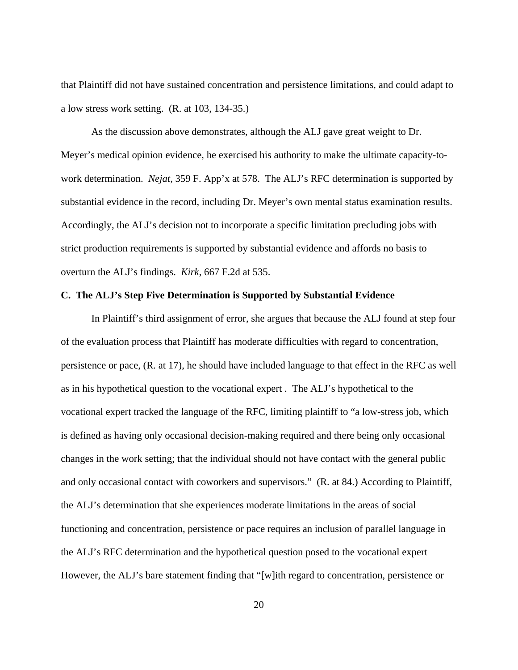that Plaintiff did not have sustained concentration and persistence limitations, and could adapt to a low stress work setting. (R. at 103, 134-35.)

 As the discussion above demonstrates, although the ALJ gave great weight to Dr. Meyer's medical opinion evidence, he exercised his authority to make the ultimate capacity-towork determination. *Nejat*, 359 F. App'x at 578. The ALJ's RFC determination is supported by substantial evidence in the record, including Dr. Meyer's own mental status examination results. Accordingly, the ALJ's decision not to incorporate a specific limitation precluding jobs with strict production requirements is supported by substantial evidence and affords no basis to overturn the ALJ's findings. *Kirk*, 667 F.2d at 535.

### **C. The ALJ's Step Five Determination is Supported by Substantial Evidence**

 In Plaintiff's third assignment of error, she argues that because the ALJ found at step four of the evaluation process that Plaintiff has moderate difficulties with regard to concentration, persistence or pace, (R. at 17), he should have included language to that effect in the RFC as well as in his hypothetical question to the vocational expert . The ALJ's hypothetical to the vocational expert tracked the language of the RFC, limiting plaintiff to "a low-stress job, which is defined as having only occasional decision-making required and there being only occasional changes in the work setting; that the individual should not have contact with the general public and only occasional contact with coworkers and supervisors." (R. at 84.) According to Plaintiff, the ALJ's determination that she experiences moderate limitations in the areas of social functioning and concentration, persistence or pace requires an inclusion of parallel language in the ALJ's RFC determination and the hypothetical question posed to the vocational expert However, the ALJ's bare statement finding that "[w]ith regard to concentration, persistence or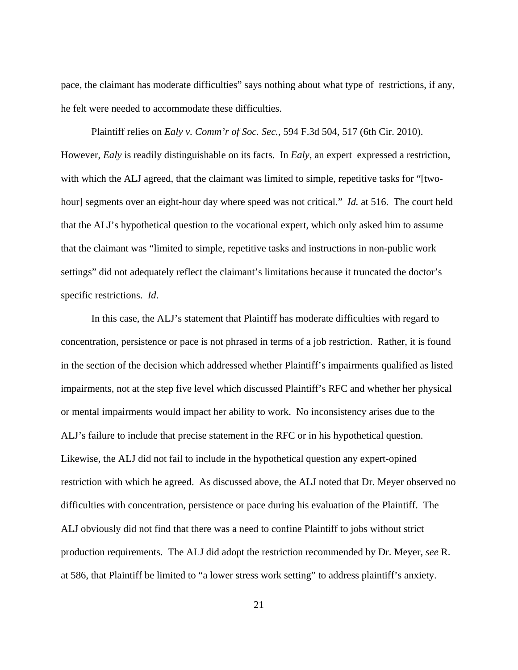pace, the claimant has moderate difficulties" says nothing about what type of restrictions, if any, he felt were needed to accommodate these difficulties.

 Plaintiff relies on *Ealy v. Comm'r of Soc. Sec.*, 594 F.3d 504, 517 (6th Cir. 2010). However, *Ealy* is readily distinguishable on its facts. In *Ealy*, an expert expressed a restriction, with which the ALJ agreed, that the claimant was limited to simple, repetitive tasks for "[twohour] segments over an eight-hour day where speed was not critical." *Id.* at 516. The court held that the ALJ's hypothetical question to the vocational expert, which only asked him to assume that the claimant was "limited to simple, repetitive tasks and instructions in non-public work settings" did not adequately reflect the claimant's limitations because it truncated the doctor's specific restrictions. *Id*.

 In this case, the ALJ's statement that Plaintiff has moderate difficulties with regard to concentration, persistence or pace is not phrased in terms of a job restriction. Rather, it is found in the section of the decision which addressed whether Plaintiff's impairments qualified as listed impairments, not at the step five level which discussed Plaintiff's RFC and whether her physical or mental impairments would impact her ability to work. No inconsistency arises due to the ALJ's failure to include that precise statement in the RFC or in his hypothetical question. Likewise, the ALJ did not fail to include in the hypothetical question any expert-opined restriction with which he agreed. As discussed above, the ALJ noted that Dr. Meyer observed no difficulties with concentration, persistence or pace during his evaluation of the Plaintiff. The ALJ obviously did not find that there was a need to confine Plaintiff to jobs without strict production requirements. The ALJ did adopt the restriction recommended by Dr. Meyer, *see* R. at 586, that Plaintiff be limited to "a lower stress work setting" to address plaintiff's anxiety.